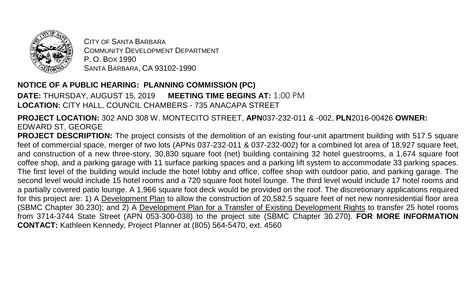

CITY OF SANTA BARBARA COMMUNITY DEVELOPMENT DEPARTMENT P. O. BOX 1990 SANTA BARBARA, CA 93102-1990

## **NOTICE OF A PUBLIC HEARING: PLANNING COMMISSION (PC)**

**DATE:** THURSDAY, AUGUST 15, 2019 **MEETING TIME BEGINS AT:** 1:00 PM **LOCATION:** CITY HALL, COUNCIL CHAMBERS - 735 ANACAPA STREET

**PROJECT LOCATION:** 302 AND 308 W. MONTECITO STREET, **APN**037-232-011 & -002, **PLN**2016-00426 **OWNER:** EDWARD ST. GEORGE

**PROJECT DESCRIPTION:** The project consists of the demolition of an existing four-unit apartment building with 517.5 square feet of commercial space, merger of two lots (APNs 037-232-011 & 037-232-002) for a combined lot area of 18,927 square feet, and construction of a new three-story, 30,830 square foot (net) building containing 32 hotel guestrooms, a 1,674 square foot coffee shop, and a parking garage with 11 surface parking spaces and a parking lift system to accommodate 33 parking spaces. The first level of the building would include the hotel lobby and office, coffee shop with outdoor patio, and parking garage. The second level would include 15 hotel rooms and a 720 square foot hotel lounge. The third level would include 17 hotel rooms and a partially covered patio lounge. A 1,966 square foot deck would be provided on the roof. The discretionary applications required for this project are: 1) A Development Plan to allow the construction of 20,582.5 square feet of net new nonresidential floor area (SBMC Chapter 30.230); and 2) A Development Plan for a Transfer of Existing Development Rights to transfer 25 hotel rooms from 3714-3744 State Street (APN 053-300-038) to the project site (SBMC Chapter 30.270). **FOR MORE INFORMATION CONTACT:** Kathleen Kennedy, Project Planner at (805) 564-5470, ext. 4560